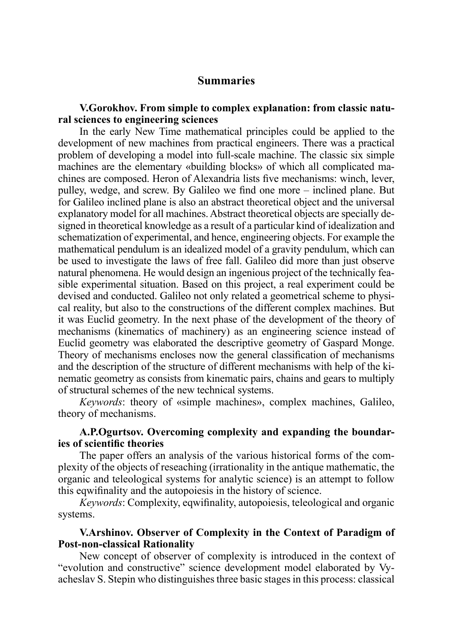# **Summaries**

## **V.Gorokhov. From simple to complex explanation: from classic natural sciences to engineering sciences**

In the early New Time mathematical principles could be applied to the development of new machines from practical engineers. There was a practical problem of developing a model into full-scale machine. The classic six simple machines are the elementary «building blocks» of which all complicated machines are composed. Heron of Alexandria lists five mechanisms: winch, lever, pulley, wedge, and screw. By Galileo we find one more – inclined plane. But for Galileo inclined plane is also an abstract theoretical object and the universal explanatory model for all machines. Abstract theoretical objects are specially designed in theoretical knowledge as a result of a particular kind of idealization and schematization of experimental, and hence, engineering objects. For example the mathematical pendulum is an idealized model of a gravity pendulum, which can be used to investigate the laws of free fall. Galileo did more than just observe natural phenomena. He would design an ingenious project of the technically feasible experimental situation. Based on this project, a real experiment could be devised and conducted. Galileo not only related a geometrical scheme to physical reality, but also to the constructions of the different complex machines. But it was Euclid geometry. In the next phase of the development of the theory of mechanisms (kinematics of machinery) as an engineering science instead of Euclid geometry was elaborated the descriptive geometry of Gaspard Monge. Theory of mechanisms encloses now the general classification of mechanisms and the description of the structure of different mechanisms with help of the kinematic geometry as consists from kinematic pairs, chains and gears to multiply of structural schemes of the new technical systems.

*Keywords*: theory of «simple machines», complex machines, Galileo, theory of mechanisms.

# **A.P.Ogurtsov. Overcoming complexity and expanding the boundaries of scientific theories**

The paper offers an analysis of the various historical forms of the complexity of the objects of reseaching (irrationality in the antique mathematic, the organic and teleological systems for analytic science) is an attempt to follow this eqwifinality and the autopoiesis in the history of science.

*Keywords*: Complexity, eqwifinality, autopoiesis, teleological and organic systems.

# **V.Arshinov. Observer of Complexity in the Context of Paradigm of Post-non-classical Rationality**

New concept of observer of complexity is introduced in the context of "evolution and constructive" science development model elaborated by Vyacheslav S. Stepin who distinguishes three basic stages in this process: classical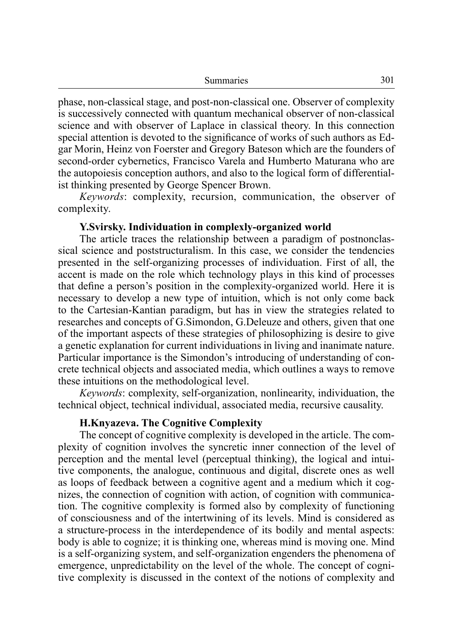| Summaries | 301 |
|-----------|-----|
|-----------|-----|

phase, non-classical stage, and post-non-classical one. Observer of complexity is successively connected with quantum mechanical observer of non-classical science and with observer of Laplace in classical theory. In this connection special attention is devoted to the significance of works of such authors as Edgar Morin, Heinz von Foerster and Gregory Bateson which are the founders of second-order cybernetics, Francisco Varela and Humberto Maturana who are the autopoiesis conception authors, and also to the logical form of differentialist thinking presented by George Spencer Brown.

*Keywords*: complexity, recursion, communication, the observer of complexity.

#### **Y.Svirsky. Individuation in complexly-organized world**

The article traces the relationship between a paradigm of postnonclassical science and poststructuralism. In this case, we consider the tendencies presented in the self-organizing processes of individuation. First of all, the accent is made on the role which technology plays in this kind of processes that define a person's position in the complexity-organized world. Here it is necessary to develop a new type of intuition, which is not only come back to the Cartesian-Kantian paradigm, but has in view the strategies related to researches and concepts of G.Simondon, G.Deleuze and others, given that one of the important aspects of these strategies of philosophizing is desire to give a genetic explanation for current individuations in living and inanimate nature. Particular importance is the Simondon's introducing of understanding of concrete technical objects and associated media, which outlines a ways to remove these intuitions on the methodological level.

*Keywords*: complexity, self-organization, nonlinearity, individuation, the technical object, technical individual, associated media, recursive causality.

#### **H.Knyazeva. The Cognitive Complexity**

The concept of cognitive complexity is developed in the article. The complexity of cognition involves the syncretic inner connection of the level of perception and the mental level (perceptual thinking), the logical and intuitive components, the analogue, continuous and digital, discrete ones as well as loops of feedback between a cognitive agent and a medium which it cognizes, the connection of cognition with action, of cognition with communication. The cognitive complexity is formed also by complexity of functioning of consciousness and of the intertwining of its levels. Mind is considered as a structure-process in the interdependence of its bodily and mental aspects: body is able to cognize; it is thinking one, whereas mind is moving one. Mind is a self-organizing system, and self-organization engenders the phenomena of emergence, unpredictability on the level of the whole. The concept of cognitive complexity is discussed in the context of the notions of complexity and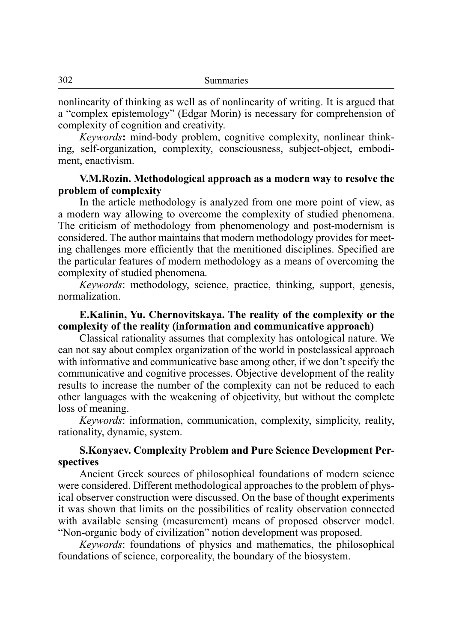nonlinearity of thinking as well as of nonlinearity of writing. It is argued that a "complex epistemology" (Edgar Morin) is necessary for comprehension of complexity of cognition and creativity.

*Keywords***:** mind-body problem, cognitive complexity, nonlinear thinking, self-organization, complexity, consciousness, subject-object, embodiment, enactivism.

## **V.M.Rozin. Methodological approach as a modern way to resolve the problem of complexity**

In the article methodology is analyzed from one more point of view, as a modern way allowing to overcome the complexity of studied phenomena. The criticism of methodology from phenomenology and post-modernism is considered. The author maintains that modern methodology provides for meeting challenges more efficiently that the menitioned disciplines. Specified are the particular features of modern methodology as a means of overcoming the complexity of studied phenomena.

*Keywords*: methodology, science, practice, thinking, support, genesis, normalization.

# **E.Kalinin, Yu. Chernovitskaya. The reality of the complexity or the complexity of the reality (information and communicative approach)**

Classical rationality assumes that complexity has ontological nature. We can not say about complex organization of the world in postclassical approach with informative and communicative base among other, if we don't specify the communicative and cognitive processes. Objective development of the reality results to increase the number of the complexity can not be reduced to each other languages with the weakening of objectivity, but without the complete loss of meaning.

*Keywords*: information, communication, complexity, simplicity, reality, rationality, dynamic, system.

# **S.Konyaev. Complexity Problem and Pure Science Development Perspectives**

Ancient Greek sources of philosophical foundations of modern science were considered. Different methodological approaches to the problem of physical observer construction were discussed. On the base of thought experiments it was shown that limits on the possibilities of reality observation connected with available sensing (measurement) means of proposed observer model. "Non-organic body of civilization" notion development was proposed.

*Keywords*: foundations of physics and mathematics, the philosophical foundations of science, corporeality, the boundary of the biosystem.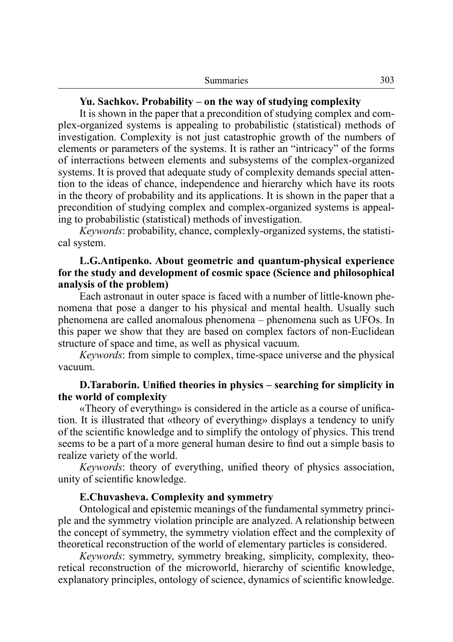| 303 |
|-----|
|     |

#### **Yu. Sachkov. Probability – on the way of studying complexity**

It is shown in the paper that a precondition of studying complex and complex-organized systems is appealing to probabilistic (statistical) methods of investigation. Complexity is not just catastrophic growth of the numbers of elements or parameters of the systems. It is rather an "intricacy" of the forms of interractions between elements and subsystems of the complex-organized systems. It is proved that adequate study of complexity demands special attention to the ideas of chance, independence and hierarchy which have its roots in the theory of probability and its applications. It is shown in the paper that a precondition of studying complex and complex-organized systems is appealing to probabilistic (statistical) methods of investigation.

*Keywords*: probability, chance, complexly-organized systems, the statistical system.

## **L.G.Antipenko. About geometric and quantum-physical experience for the study and development of cosmic space (Science and philosophical analysis of the problem)**

Each astronaut in outer space is faced with a number of little-known phenomena that pose a danger to his physical and mental health. Usually such phenomena are called anomalous phenomena – phenomena such as UFOs. In this paper we show that they are based on complex factors of non-Euclidean structure of space and time, as well as physical vacuum.

*Keywords*: from simple to complex, time-space universe and the physical vacuum.

## **D.Taraborin. Unified theories in physics – searching for simplicity in the world of complexity**

«Theory of everything» is considered in the article as a course of unification. It is illustrated that «theory of everything» displays a tendency to unify of the scientific knowledge and to simplify the ontology of physics. This trend seems to be a part of a more general human desire to find out a simple basis to realize variety of the world.

*Keywords*: theory of everything, unified theory of physics association, unity of scientific knowledge.

#### **E.Chuvasheva. Complexity and symmetry**

Ontological and epistemic meanings of the fundamental symmetry principle and the symmetry violation principle are analyzed. A relationship between the concept of symmetry, the symmetry violation effect and the complexity of theoretical reconstruction of the world of elementary particles is considered.

*Keywords*: symmetry, symmetry breaking, simplicity, complexity, theoretical reconstruction of the microworld, hierarchy of scientific knowledge, explanatory principles, ontology of science, dynamics of scientific knowledge.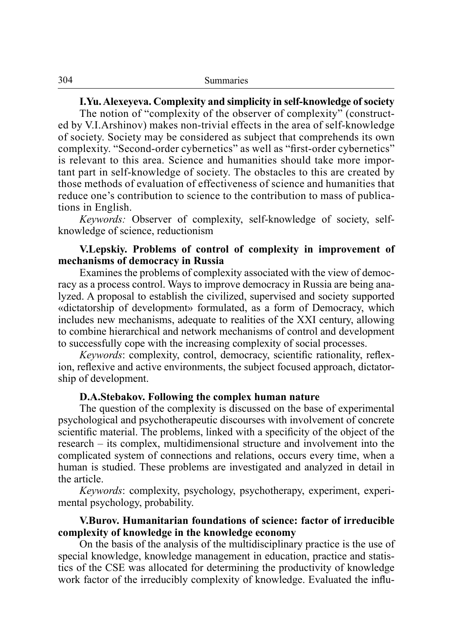**I.Yu. Alexeyeva. Complexity and simplicity in self-knowledge of society**

The notion of "complexity of the observer of complexity" (constructed by V.I.Arshinov) makes non-trivial effects in the area of self-knowledge of society. Society may be considered as subject that comprehends its own complexity. "Second-order cybernetics" as well as "first-order cybernetics" is relevant to this area. Science and humanities should take more important part in self-knowledge of society. The obstacles to this are created by those methods of evaluation of effectiveness of science and humanities that reduce one's contribution to science to the contribution to mass of publications in English.

*Keywords:* Observer of complexity, self-knowledge of society, selfknowledge of science, reductionism

## **V.Lepskiy. Problems of control of complexity in improvement of mechanisms of democracy in Russia**

Examines the problems of complexity associated with the view of democracy as a process control. Ways to improve democracy in Russia are being analyzed. A proposal to establish the civilized, supervised and society supported «dictatorship of development» formulated, as a form of Democracy, which includes new mechanisms, adequate to realities of the XXI century, allowing to combine hierarchical and network mechanisms of control and development to successfully cope with the increasing complexity of social processes.

*Keywords*: complexity, control, democracy, scientific rationality, reflexion, reflexive and active environments, the subject focused approach, dictatorship of development.

#### **D.A.Stebakov. Following the complex human nature**

The question of the complexity is discussed on the base of experimental psychological and psychotherapeutic discourses with involvement of concrete scientific material. The problems, linked with a specificity of the object of the research – its complex, multidimensional structure and involvement into the complicated system of connections and relations, occurs every time, when a human is studied. These problems are investigated and analyzed in detail in the article.

*Keywords*: complexity, psychology, psychotherapy, experiment, experimental psychology, probability.

# **V.Burov. Humanitarian foundations of science: factor of irreducible complexity of knowledge in the knowledge economy**

On the basis of the analysis of the multidisciplinary practice is the use of special knowledge, knowledge management in education, practice and statistics of the CSE was allocated for determining the productivity of knowledge work factor of the irreducibly complexity of knowledge. Evaluated the influ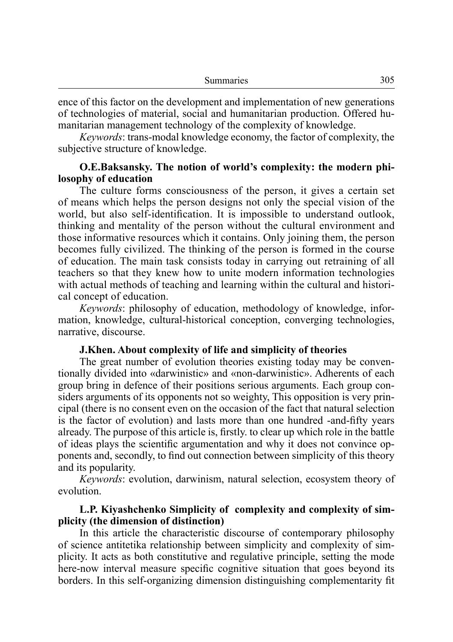ence of this factor on the development and implementation of new generations of technologies of material, social and humanitarian production. Offered humanitarian management technology of the complexity of knowledge.

*Keywords*: trans-modal knowledge economy, the factor of complexity, the subjective structure of knowledge.

## **O.E.Baksansky. The notion of world's complexity: the modern philosophy of education**

The culture forms consciousness of the person, it gives a certain set of means which helps the person designs not only the special vision of the world, but also self-identification. It is impossible to understand outlook, thinking and mentality of the person without the cultural environment and those informative resources which it contains. Only joining them, the person becomes fully civilized. The thinking of the person is formed in the course of education. The main task consists today in carrying out retraining of all teachers so that they knew how to unite modern information technologies with actual methods of teaching and learning within the cultural and historical concept of education.

*Keywords*: philosophy of education, methodology of knowledge, information, knowledge, cultural-historical conception, converging technologies, narrative, discourse.

#### **J.Khen. About complexity of life and simplicity of theories**

The great number of evolution theories existing today may be conventionally divided into «darwinistic» and «non-darwinistic». Adherents of each group bring in defence of their positions serious arguments. Each group considers arguments of its opponents not so weighty, This opposition is very principal (there is no consent even on the occasion of the fact that natural selection is the factor of evolution) and lasts more than one hundred -and-fifty years already. The purpose of this article is, firstly. to clear up which role in the battle of ideas plays the scientific argumentation and why it does not convince opponents and, secondly, to find out connection between simplicity of this theory and its popularity.

*Keywords*: evolution, darwinism, natural selection, ecosystem theory of evolution.

## **L.P. Kiyashchenko Simplicity of complexity and complexity of simplicity (the dimension of distinction)**

In this article the characteristic discourse of contemporary philosophy of science antitetika relationship between simplicity and complexity of simplicity. It acts as both constitutive and regulative principle, setting the mode here-now interval measure specific cognitive situation that goes beyond its borders. In this self-organizing dimension distinguishing complementarity fit